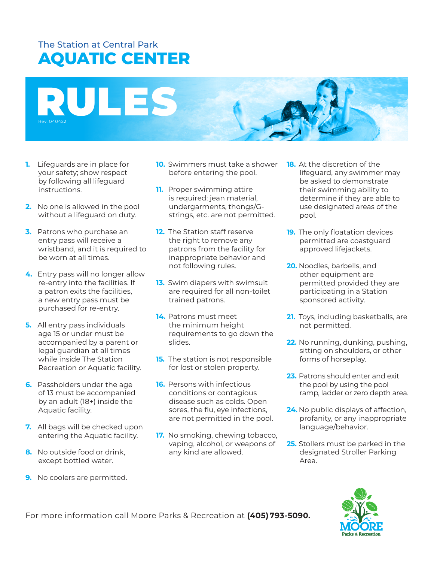# The Station at Central Park **AQUATIC CENTER**



- **1.** Lifeguards are in place for your safety; show respect by following all lifeguard instructions.
- **2.** No one is allowed in the pool without a lifeguard on duty.
- **3.** Patrons who purchase an entry pass will receive a wristband, and it is required to be worn at all times.
- **4.** Entry pass will no longer allow re-entry into the facilities. If a patron exits the facilities, a new entry pass must be purchased for re-entry.
- **5.** All entry pass individuals age 15 or under must be accompanied by a parent or legal guardian at all times while inside The Station Recreation or Aquatic facility.
- **6.** Passholders under the age of 13 must be accompanied by an adult (18+) inside the Aquatic facility.
- **7.** All bags will be checked upon entering the Aquatic facility.
- **8.** No outside food or drink, except bottled water.
- **9.** No coolers are permitted.
- **10.** Swimmers must take a shower before entering the pool.
- **11.** Proper swimming attire is required: jean material, undergarments, thongs/Gstrings, etc. are not permitted.
- **12.** The Station staff reserve the right to remove any patrons from the facility for inappropriate behavior and not following rules.
- **13.** Swim diapers with swimsuit are required for all non-toilet trained patrons.
- **14.** Patrons must meet the minimum height requirements to go down the slides.
- **15.** The station is not responsible for lost or stolen property.
- **16.** Persons with infectious conditions or contagious disease such as colds. Open sores, the flu, eye infections, are not permitted in the pool.
- **17.** No smoking, chewing tobacco, vaping, alcohol, or weapons of any kind are allowed.
- **18.** At the discretion of the lifeguard, any swimmer may be asked to demonstrate their swimming ability to determine if they are able to use designated areas of the pool.
- **19.** The only floatation devices permitted are coastguard approved lifejackets.
- **20.** Noodles, barbells, and other equipment are permitted provided they are participating in a Station sponsored activity.
- **21.** Toys, including basketballs, are not permitted.
- **22.** No running, dunking, pushing, sitting on shoulders, or other forms of horseplay.
- **23.** Patrons should enter and exit the pool by using the pool ramp, ladder or zero depth area.
- **24.** No public displays of affection, profanity, or any inappropriate language/behavior.
- **25.** Stollers must be parked in the designated Stroller Parking Area.

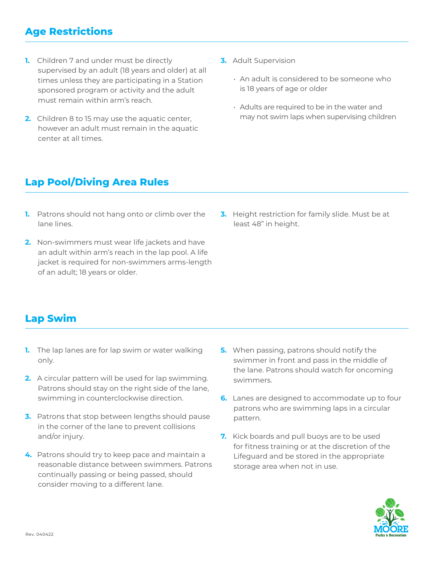## **Age Restrictions**

- **1.** Children 7 and under must be directly supervised by an adult (18 years and older) at all times unless they are participating in a Station sponsored program or activity and the adult must remain within arm's reach.
- **2.** Children 8 to 15 may use the aquatic center, however an adult must remain in the aquatic center at all times.
- **3.** Adult Supervision
	- An adult is considered to be someone who is 18 years of age or older
	- Adults are required to be in the water and may not swim laps when supervising children

## **Lap Pool/Diving Area Rules**

- **1.** Patrons should not hang onto or climb over the lane lines.
- **2.** Non-swimmers must wear life jackets and have an adult within arm's reach in the lap pool. A life jacket is required for non-swimmers arms-length of an adult; 18 years or older.
- **3.** Height restriction for family slide. Must be at least 48" in height.

## **Lap Swim**

- **1.** The lap lanes are for lap swim or water walking only.
- **2.** A circular pattern will be used for lap swimming. Patrons should stay on the right side of the lane, swimming in counterclockwise direction.
- **3.** Patrons that stop between lengths should pause in the corner of the lane to prevent collisions and/or injury.
- **4.** Patrons should try to keep pace and maintain a reasonable distance between swimmers. Patrons continually passing or being passed, should consider moving to a different lane.
- **5.** When passing, patrons should notify the swimmer in front and pass in the middle of the lane. Patrons should watch for oncoming swimmers.
- **6.** Lanes are designed to accommodate up to four patrons who are swimming laps in a circular pattern.
- **7.** Kick boards and pull buoys are to be used for fitness training or at the discretion of the Lifeguard and be stored in the appropriate storage area when not in use.

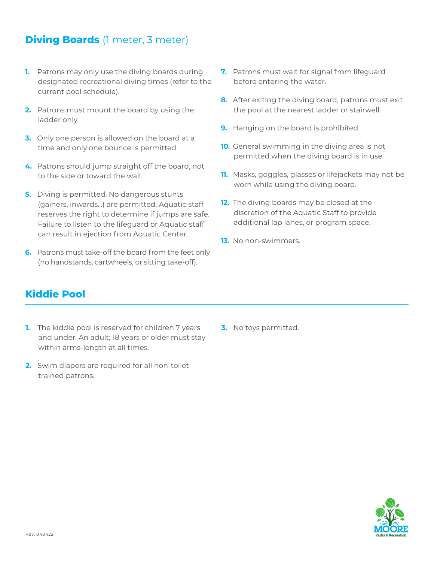- **1.** Patrons may only use the diving boards during designated recreational diving times (refer to the current pool schedule).
- **2.** Patrons must mount the board by using the ladder only.
- **3.** Only one person is allowed on the board at a time and only one bounce is permitted.
- **4.** Patrons should jump straight off the board, not to the side or toward the wall.
- **5.** Diving is permitted. No dangerous stunts (gainers, inwards...) are permitted. Aquatic staff reserves the right to determine if jumps are safe. Failure to listen to the lifeguard or Aquatic staff can result in ejection from Aquatic Center.
- **6.** Patrons must take-off the board from the feet only (no handstands, cartwheels, or sitting take-off).
- **7.** Patrons must wait for signal from lifeguard before entering the water.
- **8.** After exiting the diving board, patrons must exit the pool at the nearest ladder or stairwell.
- **9.** Hanging on the board is prohibited.
- **10.** General swimming in the diving area is not permitted when the diving board is in use.
- **11.** Masks, goggles, glasses or lifejackets may not be worn while using the diving board.
- **12.** The diving boards may be closed at the discretion of the Aquatic Staff to provide additional lap lanes, or program space.
- **13.** No non-swimmers.

# **Kiddie Pool**

- **1.** The kiddie pool is reserved for children 7 years and under. An adult; 18 years or older must stay within arms-length at all times.
- **2.** Swim diapers are required for all non-toilet trained patrons.
- **3.** No toys permitted.